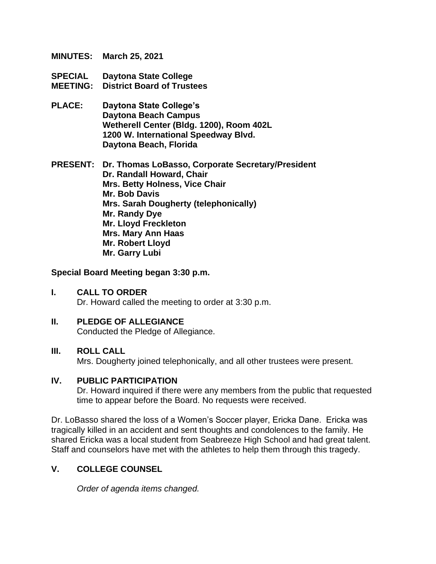- **MINUTES: March 25, 2021**
- **SPECIAL Daytona State College MEETING: District Board of Trustees**
- **PLACE: Daytona State College's Daytona Beach Campus Wetherell Center (Bldg. 1200), Room 402L 1200 W. International Speedway Blvd. Daytona Beach, Florida**

**PRESENT: Dr. Thomas LoBasso, Corporate Secretary/President Dr. Randall Howard, Chair Mrs. Betty Holness, Vice Chair Mr. Bob Davis Mrs. Sarah Dougherty (telephonically) Mr. Randy Dye Mr. Lloyd Freckleton Mrs. Mary Ann Haas Mr. Robert Lloyd Mr. Garry Lubi**

**Special Board Meeting began 3:30 p.m.**

- **I. CALL TO ORDER** Dr. Howard called the meeting to order at 3:30 p.m.
- **II. PLEDGE OF ALLEGIANCE** Conducted the Pledge of Allegiance.

#### **III. ROLL CALL**

Mrs. Dougherty joined telephonically, and all other trustees were present.

#### **IV. PUBLIC PARTICIPATION**

Dr. Howard inquired if there were any members from the public that requested time to appear before the Board. No requests were received.

Dr. LoBasso shared the loss of a Women's Soccer player, Ericka Dane. Ericka was tragically killed in an accident and sent thoughts and condolences to the family. He shared Ericka was a local student from Seabreeze High School and had great talent. Staff and counselors have met with the athletes to help them through this tragedy.

#### **V. COLLEGE COUNSEL**

*Order of agenda items changed.*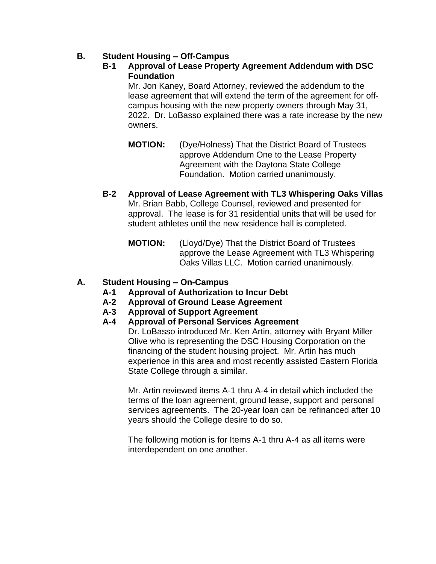# **B. Student Housing – Off-Campus**

## **B-1 Approval of Lease Property Agreement Addendum with DSC Foundation**

Mr. Jon Kaney, Board Attorney, reviewed the addendum to the lease agreement that will extend the term of the agreement for offcampus housing with the new property owners through May 31, 2022. Dr. LoBasso explained there was a rate increase by the new owners.

- **MOTION:** (Dye/Holness) That the District Board of Trustees approve Addendum One to the Lease Property Agreement with the Daytona State College Foundation. Motion carried unanimously.
- **B-2 Approval of Lease Agreement with TL3 Whispering Oaks Villas** Mr. Brian Babb, College Counsel, reviewed and presented for approval. The lease is for 31 residential units that will be used for student athletes until the new residence hall is completed.
	- **MOTION:** (Lloyd/Dye) That the District Board of Trustees approve the Lease Agreement with TL3 Whispering Oaks Villas LLC. Motion carried unanimously.

# **A. Student Housing – On-Campus**

- **A-1 Approval of Authorization to Incur Debt**
- **A-2 Approval of Ground Lease Agreement**
- **A-3 Approval of Support Agreement**
- **A-4 Approval of Personal Services Agreement**

Dr. LoBasso introduced Mr. Ken Artin, attorney with Bryant Miller Olive who is representing the DSC Housing Corporation on the financing of the student housing project. Mr. Artin has much experience in this area and most recently assisted Eastern Florida State College through a similar.

Mr. Artin reviewed items A-1 thru A-4 in detail which included the terms of the loan agreement, ground lease, support and personal services agreements. The 20-year loan can be refinanced after 10 years should the College desire to do so.

The following motion is for Items A-1 thru A-4 as all items were interdependent on one another.